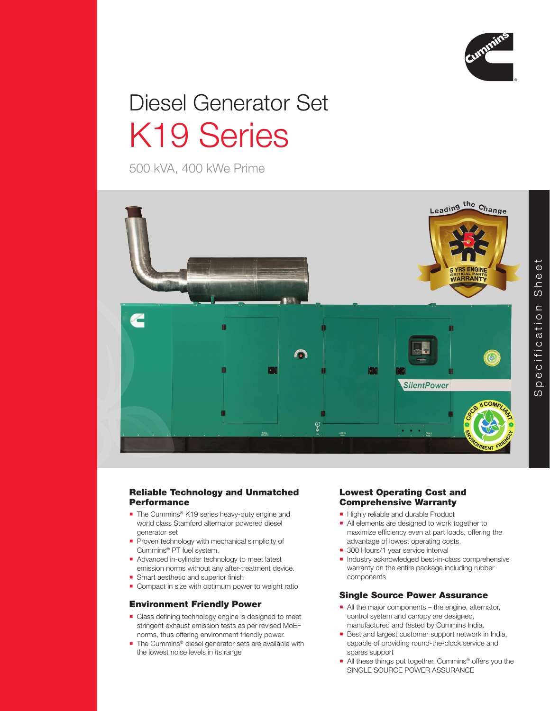

# Diesel Generator Set K19 Series

500 kVA, 400 kWe Prime



# Reliable Technology and Unmatched Performance

- The Cummins<sup>®</sup> K19 series heavy-duty engine and world class Stamford alternator powered diesel generator set
- Proven technology with mechanical simplicity of Cummins® PT fuel system.
- Advanced in-cylinder technology to meet latest emission norms without any after-treatment device.
- **Smart aesthetic and superior finish**
- Compact in size with optimum power to weight ratio

# Environment Friendly Power

- Class defining technology engine is designed to meet stringent exhaust emission tests as per revised MoEF norms, thus offering environment friendly power.
- The Cummins<sup>®</sup> diesel generator sets are available with the lowest noise levels in its range

# Lowest Operating Cost and Comprehensive Warranty

- Highly reliable and durable Product
- All elements are designed to work together to maximize efficiency even at part loads, offering the advantage of lowest operating costs.
- 300 Hours/1 year service interval
- Industry acknowledged best-in-class comprehensive warranty on the entire package including rubber components

# Single Source Power Assurance

- All the major components the engine, alternator, control system and canopy are designed, manufactured and tested by Cummins India.
- Best and largest customer support network in India, capable of providing round-the-clock service and spares support
- All these things put together, Cummins<sup>®</sup> offers you the SINGLE SOURCE POWER ASSURANCE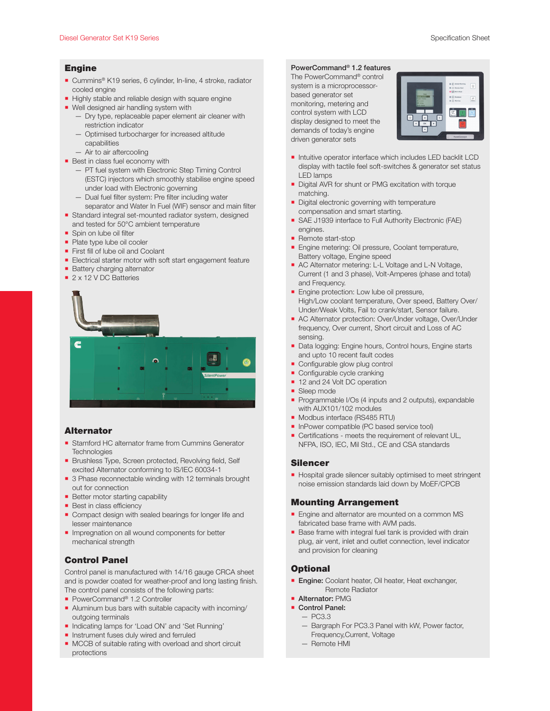## Engine

- Cummins<sup>®</sup> K19 series, 6 cylinder, In-line, 4 stroke, radiator cooled engine
- Highly stable and reliable design with square engine
- Well designed air handling system with
	- Dry type, replaceable paper element air cleaner with restriction indicator
	- Optimised turbocharger for increased altitude capabilities
	- Air to air aftercooling
- **Best in class fuel economy with** 
	- PT fuel system with Electronic Step Timing Control (ESTC) injectors which smoothly stabilise engine speed under load with Electronic governing
	- Dual fuel filter system: Pre filter including water separator and Water In Fuel (WIF) sensor and main filter
- Standard integral set-mounted radiator system, designed and tested for 50°C ambient temperature
- Spin on lube oil filter
- Plate type lube oil cooler
- **First fill of lube oil and Coolant**
- **Electrical starter motor with soft start engagement feature**
- **Battery charging alternator**
- 2 x 12 V DC Batteries



#### Alternator

- Stamford HC alternator frame from Cummins Generator **Technologies**
- Brushless Type, Screen protected, Revolving field, Self excited Alternator conforming to IS/IEC 60034-1
- 3 Phase reconnectable winding with 12 terminals brought out for connection
- **Better motor starting capability**
- **Best in class efficiency**
- Compact design with sealed bearings for longer life and lesser maintenance
- **Impregnation on all wound components for better** mechanical strength

# Control Panel

Control panel is manufactured with 14/16 gauge CRCA sheet and is powder coated for weather-proof and long lasting finish. The control panel consists of the following parts:

- PowerCommand<sup>®</sup> 1.2 Controller
- Aluminum bus bars with suitable capacity with incoming/ outgoing terminals
- **Indicating lamps for 'Load ON' and 'Set Running'**
- **Instrument fuses duly wired and ferruled**
- **MCCB** of suitable rating with overload and short circuit protections

#### PowerCommand® 1.2 features

The PowerCommand® control system is a microprocessorbased generator set monitoring, metering and control system with LCD display designed to meet the demands of today's engine driven generator sets



- **Intuitive operator interface which includes LED backlit LCD** display with tactile feel soft-switches & generator set status LED lamps
- Digital AVR for shunt or PMG excitation with torque matching.
- Digital electronic governing with temperature compensation and smart starting.
- SAE J1939 interface to Full Authority Electronic (FAE) engines.
- Remote start-stop
- **Engine metering: Oil pressure, Coolant temperature,** Battery voltage, Engine speed
- AC Alternator metering: L-L Voltage and L-N Voltage, Current (1 and 3 phase), Volt-Amperes (phase and total) and Frequency.
- **Engine protection: Low lube oil pressure,** High/Low coolant temperature, Over speed, Battery Over/ Under/Weak Volts, Fail to crank/start, Sensor failure.
- **AC Alternator protection: Over/Under voltage, Over/Under** frequency, Over current, Short circuit and Loss of AC sensing.
- Data logging: Engine hours, Control hours, Engine starts and upto 10 recent fault codes
- Configurable glow plug control
- Configurable cycle cranking
- 12 and 24 Volt DC operation
- Sleep mode
- Programmable I/Os (4 inputs and 2 outputs), expandable with AUX101/102 modules
- Modbus interface (RS485 RTU)
- InPower compatible (PC based service tool)
- Certifications meets the requirement of relevant UL, NFPA, ISO, IEC, Mil Std., CE and CSA standards

#### Silencer

Hospital grade silencer suitably optimised to meet stringent noise emission standards laid down by MoEF/CPCB

### Mounting Arrangement

- Engine and alternator are mounted on a common MS fabricated base frame with AVM pads.
- **Base frame with integral fuel tank is provided with drain** plug, air vent, inlet and outlet connection, level indicator and provision for cleaning

#### **Optional**

- **Engine:** Coolant heater, Oil heater, Heat exchanger, Remote Radiator
- **Alternator: PMG**
- Control Panel:
	- PC3.3 — Bargraph For PC3.3 Panel with kW, Power factor, Frequency,Current, Voltage
	- Remote HMI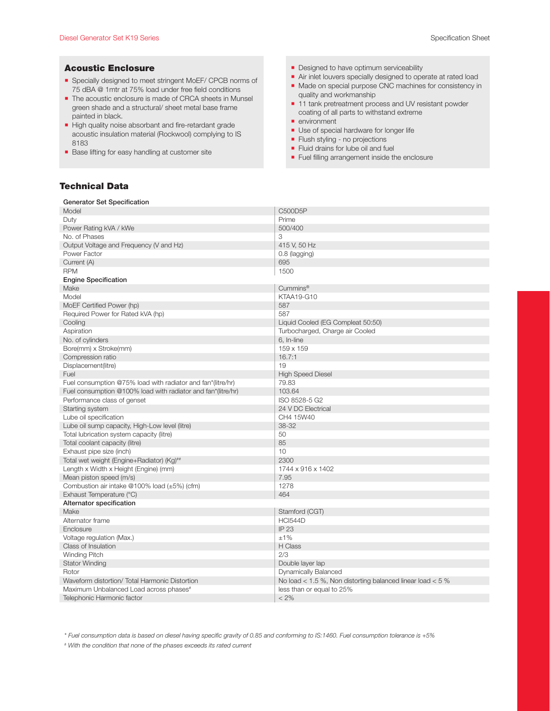#### Acoustic Enclosure

- Specially designed to meet stringent MoEF/ CPCB norms of 75 dBA @ 1mtr at 75% load under free field conditions
- The acoustic enclosure is made of CRCA sheets in Munsel green shade and a structural/ sheet metal base frame painted in black.
- High quality noise absorbant and fire-retardant grade acoustic insulation material (Rockwool) complying to IS 8183
- Base lifting for easy handling at customer site
- **Designed to have optimum serviceability**
- Air inlet louvers specially designed to operate at rated load
- Made on special purpose CNC machines for consistency in quality and workmanship
- 11 tank pretreatment process and UV resistant powder coating of all parts to withstand extreme
- **environment**
- **Use of special hardware for longer life**
- **Filush styling no projections**
- **Fluid drains for lube oil and fuel**
- **Fuel filling arrangement inside the enclosure**

#### Technical Data

Generator Set Specification

| Generator Set Opechication                                   |                                                                |
|--------------------------------------------------------------|----------------------------------------------------------------|
| Model                                                        | C500D5P                                                        |
| Duty                                                         | Prime                                                          |
| Power Rating kVA / kWe                                       | 500/400                                                        |
| No. of Phases                                                | 3                                                              |
| Output Voltage and Frequency (V and Hz)                      | 415 V, 50 Hz                                                   |
| Power Factor                                                 | $0.8$ (lagging)                                                |
| Current (A)                                                  | 695                                                            |
| <b>RPM</b>                                                   | 1500                                                           |
| <b>Engine Specification</b>                                  |                                                                |
| Make                                                         | Cummins <sup>®</sup>                                           |
| Model                                                        | <b>KTAA19-G10</b>                                              |
| MoEF Certified Power (hp)                                    | 587                                                            |
| Required Power for Rated kVA (hp)                            | 587                                                            |
| Cooling                                                      | Liquid Cooled (EG Compleat 50:50)                              |
| Aspiration                                                   | Turbocharged, Charge air Cooled                                |
| No. of cylinders                                             | 6, In-line                                                     |
| Bore(mm) x Stroke(mm)                                        | 159 x 159                                                      |
| Compression ratio                                            | 16.7:1                                                         |
| Displacement(litre)                                          | 19                                                             |
| Fuel                                                         | <b>High Speed Diesel</b>                                       |
| Fuel consumption @75% load with radiator and fan*(litre/hr)  | 79.83                                                          |
| Fuel consumption @100% load with radiator and fan*(litre/hr) | 103.64                                                         |
|                                                              |                                                                |
| Performance class of genset                                  | ISO 8528-5 G2                                                  |
| Starting system                                              | 24 V DC Electrical                                             |
| Lube oil specification                                       | CH4 15W40                                                      |
| Lube oil sump capacity, High-Low level (litre)               | 38-32                                                          |
| Total lubrication system capacity (litre)                    | 50                                                             |
| Total coolant capacity (litre)                               | 85                                                             |
| Exhaust pipe size (inch)                                     | 10                                                             |
| Total wet weight (Engine+Radiator) (Kg)##                    | 2300                                                           |
| Length x Width x Height (Engine) (mm)                        | 1744 x 916 x 1402                                              |
| Mean piston speed (m/s)                                      | 7.95                                                           |
| Combustion air intake @100% load (±5%) (cfm)                 | 1278                                                           |
| Exhaust Temperature (°C)                                     | 464                                                            |
| Alternator specification                                     |                                                                |
| Make                                                         | Stamford (CGT)                                                 |
| Alternator frame                                             | <b>HCI544D</b>                                                 |
| Enclosure                                                    | IP 23                                                          |
| Voltage regulation (Max.)                                    | ±1%                                                            |
| Class of Insulation                                          | H Class                                                        |
| Winding Pitch                                                | 2/3                                                            |
| <b>Stator Winding</b>                                        | Double layer lap                                               |
| Rotor                                                        | Dynamically Balanced                                           |
| Waveform distortion/ Total Harmonic Distortion               | No load $<$ 1.5 %, Non distorting balanced linear load $<$ 5 % |
| Maximum Unbalanced Load across phases <sup>#</sup>           | less than or equal to 25%                                      |
| Telephonic Harmonic factor                                   | $< 2\%$                                                        |

*\* Fuel consumption data is based on diesel having specific gravity of 0.85 and conforming to IS:1460. Fuel consumption tolerance is +5%*

*# With the condition that none of the phases exceeds its rated current*